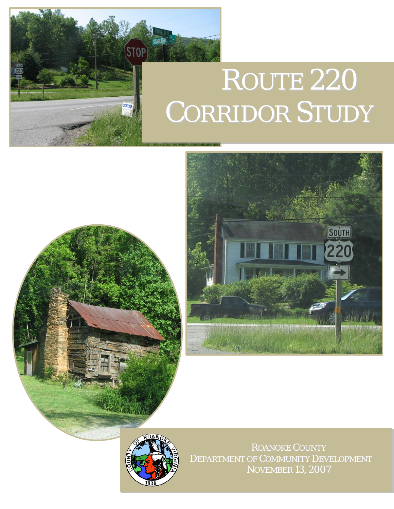# ROUTE 220 CORRIDOR STUDY



STOP

FOR SALE





ROANOKE COUNTY DEPARTMENT OF COMMUNITY DEVELOPMENT NOVEMBER 13, 2007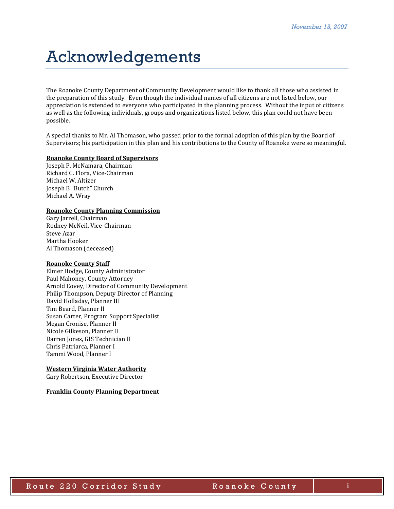## Acknowledgements

The Roanoke County Department of Community Development would like to thank all those who assisted in the preparation of this study. Even though the individual names of all citizens are not listed below, our appreciation is extended to everyone who participated in the planning process. Without the input of citizens as well as the following individuals, groups and organizations listed below, this plan could not have been possible.

A special thanks to Mr. Al Thomason, who passed prior to the formal adoption of this plan by the Board of Supervisors; his participation in this plan and his contributions to the County of Roanoke were so meaningful.

#### **Roanoke County Board of Supervisors**

Joseph P. McNamara, Chairman Richard C. Flora, Vice-Chairman Michael W. Altizer Joseph B "Butch" Church Michael A. Wray

#### **Roanoke County Planning Commission**

Gary Jarrell, Chairman Rodney McNeil, Vice-Chairman Steve Azar Martha Hooker Al Thomason (deceased)

#### **Roanoke County Staff**

Elmer Hodge, County Administrator Paul Mahoney, County Attorney Arnold Covey, Director of Community Development Philip Thompson, Deputy Director of Planning David Holladay, Planner III Tim Beard, Planner II Susan Carter, Program Support Specialist Megan Cronise, Planner II Nicole Gilkeson, Planner II Darren Jones, GIS Technician II Chris Patriarca, Planner I Tammi Wood, Planner I

#### **Western Virginia Water Authority**

Gary Robertson, Executive Director

#### **Franklin County Planning Department**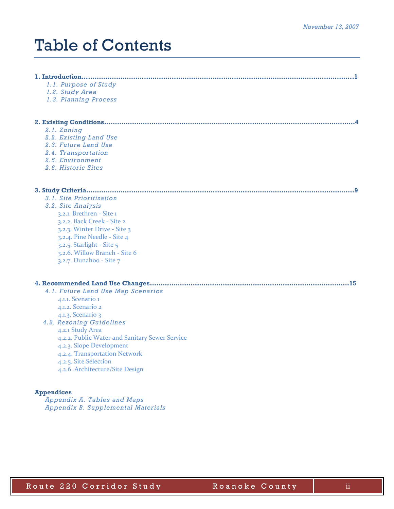# Table of Contents

| 1.1. Purpose of Study                                              |  |
|--------------------------------------------------------------------|--|
| 1.2. Study Area                                                    |  |
| 1.3. Planning Process                                              |  |
|                                                                    |  |
|                                                                    |  |
| 2.1. Zoning                                                        |  |
| 2.2. Existing Land Use                                             |  |
| 2.3. Future Land Use                                               |  |
| 2.4. Transportation                                                |  |
| 2.5. Environment                                                   |  |
| 2.6. Historic Sites                                                |  |
|                                                                    |  |
| 3.1. Site Prioritization                                           |  |
| 3.2. Site Analysis                                                 |  |
| 3.2.1. Brethren - Site 1                                           |  |
| 3.2.2. Back Creek - Site 2                                         |  |
| 3.2.3. Winter Drive - Site 3                                       |  |
| 3.2.4. Pine Needle - Site 4                                        |  |
| 3.2.5. Starlight - Site 5                                          |  |
| 3.2.6. Willow Branch - Site 6                                      |  |
| 3.2.7. Dunahoo - Site 7                                            |  |
|                                                                    |  |
| 4.1. Future Land Use Map Scenarios                                 |  |
| 4.1.1. Scenario 1                                                  |  |
| 4.1.2. Scenario 2                                                  |  |
| 4.1.3. Scenario 3                                                  |  |
| 4.2. Rezoning Guidelines                                           |  |
|                                                                    |  |
| 4.2.1 Study Area<br>4.2.2. Public Water and Sanitary Sewer Service |  |
| 4.2.3. Slope Development                                           |  |
|                                                                    |  |
| 4.2.4. Transportation Network                                      |  |
| 4.2.5. Site Selection                                              |  |
| 4.2.6. Architecture/Site Design                                    |  |
| <b>Appendices</b>                                                  |  |
| Appendix A. Tables and Maps                                        |  |

 *Appendix B. Supplemental Materials*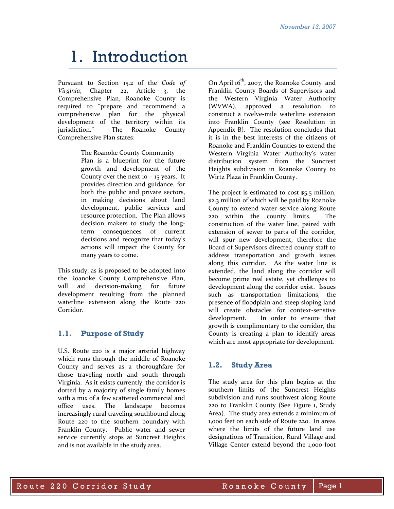# 1. Introduction

Pursuant to Section 15.2 of the *Code of Virginia*, Chapter 22, Article 3, the Comprehensive Plan, Roanoke County is required to "prepare and recommend a comprehensive plan for the physical development of the territory within its jurisdiction." The Roanoke County Comprehensive Plan states:

> The Roanoke County Community Plan is a blueprint for the future growth and development of the County over the next  $10 - 15$  years. It provides direction and guidance, for both the public and private sectors, in making decisions about land development, public services and resource protection. The Plan allows decision makers to study the longterm consequences of current decisions and recognize that today's actions will impact the County for many years to come.

This study, as is proposed to be adopted into the Roanoke County Comprehensive Plan, will aid decision-making for future development resulting from the planned waterline extension along the Route 220 Corridor.

### **1.1. Purpose of Study**

U.S. Route 220 is a major arterial highway which runs through the middle of Roanoke County and serves as a thoroughfare for those traveling north and south through Virginia. As it exists currently, the corridor is dotted by a majority of single family homes with a mix of a few scattered commercial and office uses. The landscape becomes increasingly rural traveling southbound along Route 220 to the southern boundary with Franklin County. Public water and sewer service currently stops at Suncrest Heights and is not available in the study area.

On April  $16^{th}$ , 2007, the Roanoke County and Franklin County Boards of Supervisors and the Western Virginia Water Authority (WVWA), approved a resolution to construct a twelve-mile waterline extension into Franklin County (see Resolution in Appendix B). The resolution concludes that it is in the best interests of the citizens of Roanoke and Franklin Counties to extend the Western Virginia Water Authority's water distribution system from the Suncrest Heights subdivision in Roanoke County to Wirtz Plaza in Franklin County.

The project is estimated to cost \$5.5 million, \$2.3 million of which will be paid by Roanoke County to extend water service along Route 220 within the county limits. The construction of the water line, paired with extension of sewer to parts of the corridor, will spur new development, therefore the Board of Supervisors directed county staff to address transportation and growth issues along this corridor. As the water line is extended, the land along the corridor will become prime real estate, yet challenges to development along the corridor exist. Issues such as transportation limitations, the presence of floodplain and steep sloping land will create obstacles for context-senstive development. In order to ensure that growth is complimentary to the corridor, the County is creating a plan to identify areas which are most appropriate for development.

### **1.2. Study Area**

The study area for this plan begins at the southern limits of the Suncrest Heights subdivision and runs southwest along Route 220 to Franklin County (See Figure 1, Study Area). The study area extends a minimum of 1,000 feet on each side of Route 220. In areas where the limits of the future land use designations of Transition, Rural Village and Village Center extend beyond the 1,000-foot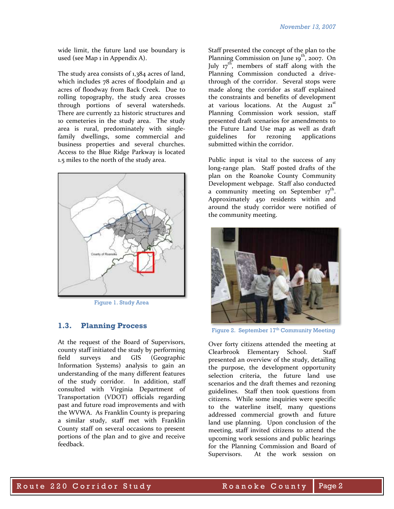wide limit, the future land use boundary is used (see Map 1 in Appendix A).

The study area consists of 1,384 acres of land, which includes 78 acres of floodplain and 41 acres of floodway from Back Creek. Due to rolling topography, the study area crosses through portions of several watersheds. There are currently 22 historic structures and 10 cemeteries in the study area. The study area is rural, predominately with singlefamily dwellings, some commercial and business properties and several churches. Access to the Blue Ridge Parkway is located 1.5 miles to the north of the study area.



Figure 1. Study Area

### **1.3. Planning Process**

At the request of the Board of Supervisors, county staff initiated the study by performing field surveys and GIS (Geographic Information Systems) analysis to gain an understanding of the many different features of the study corridor. In addition, staff consulted with Virginia Department of Transportation (VDOT) officials regarding past and future road improvements and with the WVWA. As Franklin County is preparing a similar study, staff met with Franklin County staff on several occasions to present portions of the plan and to give and receive feedback.

Staff presented the concept of the plan to the Planning Commission on June 19<sup>th</sup>, 2007. On July  $17^{th}$ , members of staff along with the Planning Commission conducted a drivethrough of the corridor. Several stops were made along the corridor as staff explained the constraints and benefits of development at various locations. At the August  $21<sup>st</sup>$ Planning Commission work session, staff presented draft scenarios for amendments to the Future Land Use map as well as draft guidelines for rezoning applications submitted within the corridor.

Public input is vital to the success of any long-range plan. Staff posted drafts of the plan on the Roanoke County Community Development webpage. Staff also conducted a community meeting on September  $17^{th}$ . Approximately 450 residents within and around the study corridor were notified of the community meeting.



Figure 2. September 17<sup>th</sup> Community Meeting

Over forty citizens attended the meeting at Clearbrook Elementary School. Staff presented an overview of the study, detailing the purpose, the development opportunity selection criteria, the future land use scenarios and the draft themes and rezoning guidelines. Staff then took questions from citizens. While some inquiries were specific to the waterline itself, many questions addressed commercial growth and future land use planning. Upon conclusion of the meeting, staff invited citizens to attend the upcoming work sessions and public hearings for the Planning Commission and Board of Supervisors. At the work session on